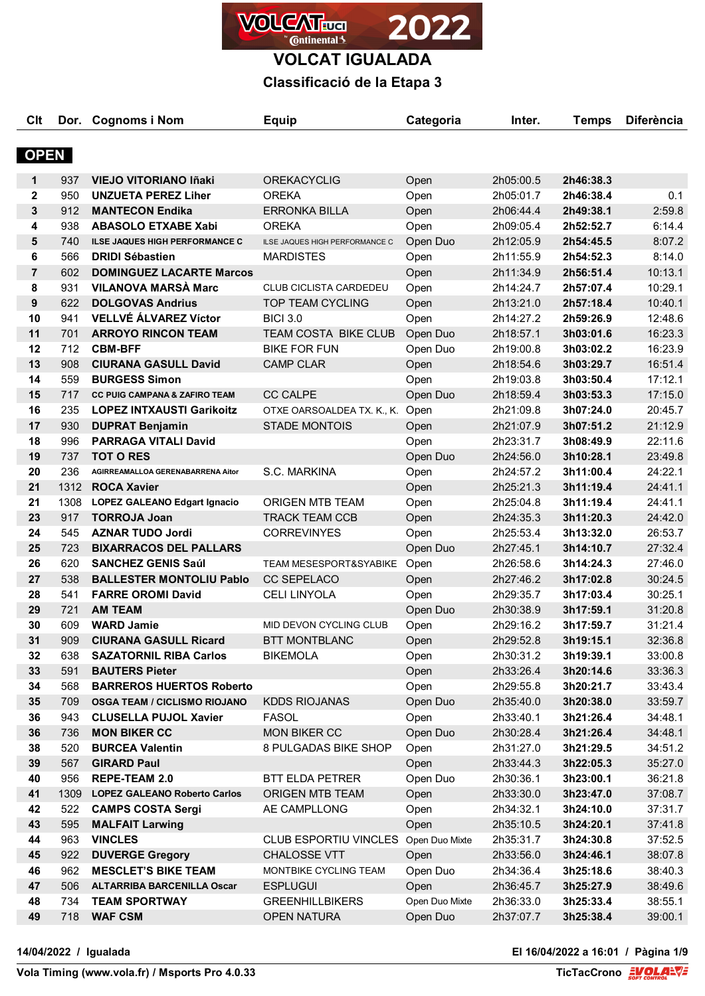

## **Classificació de la Etapa 3**

| C <sub>it</sub> |      | Dor. Cognoms i Nom                       | <b>Equip</b>                         | Categoria      | Inter.    | <b>Temps</b> | <b>Diferència</b> |
|-----------------|------|------------------------------------------|--------------------------------------|----------------|-----------|--------------|-------------------|
|                 |      |                                          |                                      |                |           |              |                   |
| <b>OPEN</b>     |      |                                          |                                      |                |           |              |                   |
| 1               | 937  | <b>VIEJO VITORIANO Iñaki</b>             | <b>OREKACYCLIG</b>                   | Open           | 2h05:00.5 | 2h46:38.3    |                   |
| $\mathbf 2$     | 950  | <b>UNZUETA PEREZ Liher</b>               | <b>OREKA</b>                         | Open           | 2h05:01.7 | 2h46:38.4    | 0.1               |
| ${\bf 3}$       | 912  | <b>MANTECON Endika</b>                   | <b>ERRONKA BILLA</b>                 | Open           | 2h06:44.4 | 2h49:38.1    | 2:59.8            |
| 4               | 938  | <b>ABASOLO ETXABE Xabi</b>               | <b>OREKA</b>                         | Open           | 2h09:05.4 | 2h52:52.7    | 6:14.4            |
| 5               | 740  | <b>ILSE JAQUES HIGH PERFORMANCE C</b>    | ILSE JAQUES HIGH PERFORMANCE C       | Open Duo       | 2h12:05.9 | 2h54:45.5    | 8:07.2            |
| 6               | 566  | <b>DRIDI Sébastien</b>                   | <b>MARDISTES</b>                     | Open           | 2h11:55.9 | 2h54:52.3    | 8:14.0            |
| $\overline{7}$  | 602  | <b>DOMINGUEZ LACARTE Marcos</b>          |                                      | Open           | 2h11:34.9 | 2h56:51.4    | 10:13.1           |
| 8               | 931  | <b>VILANOVA MARSÀ Marc</b>               | CLUB CICLISTA CARDEDEU               | Open           | 2h14:24.7 | 2h57:07.4    | 10:29.1           |
| 9               | 622  | <b>DOLGOVAS Andrius</b>                  | <b>TOP TEAM CYCLING</b>              | Open           | 2h13:21.0 | 2h57:18.4    | 10:40.1           |
| 10              | 941  | <b>VELLVÉ ÁLVAREZ Víctor</b>             | <b>BICI 3.0</b>                      | Open           | 2h14:27.2 | 2h59:26.9    | 12:48.6           |
| 11              | 701  | <b>ARROYO RINCON TEAM</b>                | <b>TEAM COSTA BIKE CLUB</b>          | Open Duo       | 2h18:57.1 | 3h03:01.6    | 16:23.3           |
| 12              | 712  | <b>CBM-BFF</b>                           | <b>BIKE FOR FUN</b>                  | Open Duo       | 2h19:00.8 | 3h03:02.2    | 16:23.9           |
| 13              | 908  | <b>CIURANA GASULL David</b>              | <b>CAMP CLAR</b>                     | Open           | 2h18:54.6 | 3h03:29.7    | 16:51.4           |
| 14              | 559  | <b>BURGESS Simon</b>                     |                                      | Open           | 2h19:03.8 | 3h03:50.4    | 17:12.1           |
| 15              | 717  | <b>CC PUIG CAMPANA &amp; ZAFIRO TEAM</b> | <b>CC CALPE</b>                      | Open Duo       | 2h18:59.4 | 3h03:53.3    | 17:15.0           |
| 16              | 235  | <b>LOPEZ INTXAUSTI Garikoitz</b>         | OTXE OARSOALDEA TX. K., K. Open      |                | 2h21:09.8 | 3h07:24.0    | 20:45.7           |
| 17              | 930  | <b>DUPRAT Benjamin</b>                   | <b>STADE MONTOIS</b>                 | Open           | 2h21:07.9 | 3h07:51.2    | 21:12.9           |
| 18              | 996  | <b>PARRAGA VITALI David</b>              |                                      | Open           | 2h23:31.7 | 3h08:49.9    | 22:11.6           |
| 19              | 737  | <b>TOT O RES</b>                         |                                      | Open Duo       | 2h24:56.0 | 3h10:28.1    | 23:49.8           |
| 20              | 236  | AGIRREAMALLOA GERENABARRENA Aitor        | S.C. MARKINA                         | Open           | 2h24:57.2 | 3h11:00.4    | 24:22.1           |
| 21              | 1312 | <b>ROCA Xavier</b>                       |                                      | Open           | 2h25:21.3 | 3h11:19.4    | 24:41.1           |
| 21              | 1308 | <b>LOPEZ GALEANO Edgart Ignacio</b>      | ORIGEN MTB TEAM                      | Open           | 2h25:04.8 | 3h11:19.4    | 24:41.1           |
| 23              | 917  | <b>TORROJA Joan</b>                      | <b>TRACK TEAM CCB</b>                | Open           | 2h24:35.3 | 3h11:20.3    | 24:42.0           |
| 24              | 545  | <b>AZNAR TUDO Jordi</b>                  | <b>CORREVINYES</b>                   | Open           | 2h25:53.4 | 3h13:32.0    | 26:53.7           |
| 25              | 723  | <b>BIXARRACOS DEL PALLARS</b>            |                                      | Open Duo       | 2h27:45.1 | 3h14:10.7    | 27:32.4           |
| 26              | 620  | <b>SANCHEZ GENIS Saúl</b>                | TEAM MESESPORT&SYABIKE               | Open           | 2h26:58.6 | 3h14:24.3    | 27:46.0           |
| 27              | 538  | <b>BALLESTER MONTOLIU Pablo</b>          | <b>CC SEPELACO</b>                   | Open           | 2h27:46.2 | 3h17:02.8    | 30:24.5           |
| 28              | 541  | <b>FARRE OROMI David</b>                 | <b>CELI LINYOLA</b>                  | Open           | 2h29:35.7 | 3h17:03.4    | 30:25.1           |
| 29              | 721  | <b>AM TEAM</b>                           |                                      | Open Duo       | 2h30:38.9 | 3h17:59.1    | 31:20.8           |
| 30              | 609  | <b>WARD Jamie</b>                        | MID DEVON CYCLING CLUB               | Open           | 2h29:16.2 | 3h17:59.7    | 31:21.4           |
| 31              | 909  | <b>CIURANA GASULL Ricard</b>             | BTT MONTBLANC                        | Open           | 2h29:52.8 | 3h19:15.1    | 32:36.8           |
| 32              | 638  | <b>SAZATORNIL RIBA Carlos</b>            | <b>BIKEMOLA</b>                      | Open           | 2h30:31.2 | 3h19:39.1    | 33:00.8           |
| 33              | 591  | <b>BAUTERS Pieter</b>                    |                                      | Open           | 2h33:26.4 | 3h20:14.6    | 33:36.3           |
| 34              | 568  | <b>BARREROS HUERTOS Roberto</b>          |                                      | Open           | 2h29:55.8 | 3h20:21.7    | 33:43.4           |
| 35              | 709  | <b>OSGA TEAM / CICLISMO RIOJANO</b>      | <b>KDDS RIOJANAS</b>                 | Open Duo       | 2h35:40.0 | 3h20:38.0    | 33:59.7           |
| 36              | 943  | <b>CLUSELLA PUJOL Xavier</b>             | <b>FASOL</b>                         | Open           | 2h33:40.1 | 3h21:26.4    | 34:48.1           |
| 36              | 736  | <b>MON BIKER CC</b>                      | MON BIKER CC                         | Open Duo       | 2h30:28.4 | 3h21:26.4    | 34:48.1           |
| 38              | 520  | <b>BURCEA Valentin</b>                   | 8 PULGADAS BIKE SHOP                 | Open           | 2h31:27.0 | 3h21:29.5    | 34:51.2           |
| 39              | 567  | <b>GIRARD Paul</b>                       |                                      | Open           | 2h33:44.3 | 3h22:05.3    | 35:27.0           |
| 40              | 956  | <b>REPE-TEAM 2.0</b>                     | <b>BTT ELDA PETRER</b>               | Open Duo       | 2h30:36.1 | 3h23:00.1    | 36:21.8           |
| 41              | 1309 | <b>LOPEZ GALEANO Roberto Carlos</b>      | <b>ORIGEN MTB TEAM</b>               | Open           | 2h33:30.0 | 3h23:47.0    | 37:08.7           |
| 42              | 522  | <b>CAMPS COSTA Sergi</b>                 | AE CAMPLLONG                         | Open           | 2h34:32.1 | 3h24:10.0    | 37:31.7           |
| 43              | 595  | <b>MALFAIT Larwing</b>                   |                                      | Open           | 2h35:10.5 | 3h24:20.1    | 37:41.8           |
| 44              | 963  | <b>VINCLES</b>                           | CLUB ESPORTIU VINCLES Open Duo Mixte |                | 2h35:31.7 | 3h24:30.8    | 37:52.5           |
| 45              | 922  | <b>DUVERGE Gregory</b>                   | CHALOSSE VTT                         | Open           | 2h33:56.0 | 3h24:46.1    | 38:07.8           |
| 46              | 962  | <b>MESCLET'S BIKE TEAM</b>               | MONTBIKE CYCLING TEAM                | Open Duo       | 2h34:36.4 | 3h25:18.6    | 38:40.3           |
| 47              | 506  | <b>ALTARRIBA BARCENILLA Oscar</b>        | <b>ESPLUGUI</b>                      | Open           | 2h36:45.7 | 3h25:27.9    | 38:49.6           |
| 48              | 734  | <b>TEAM SPORTWAY</b>                     | <b>GREENHILLBIKERS</b>               | Open Duo Mixte | 2h36:33.0 | 3h25:33.4    | 38:55.1           |
| 49              | 718  | <b>WAF CSM</b>                           | <b>OPEN NATURA</b>                   | Open Duo       | 2h37:07.7 | 3h25:38.4    | 39:00.1           |

**14/04/2022 / Igualada El 16/04/2022 a 16:01 / Pàgina 1/9**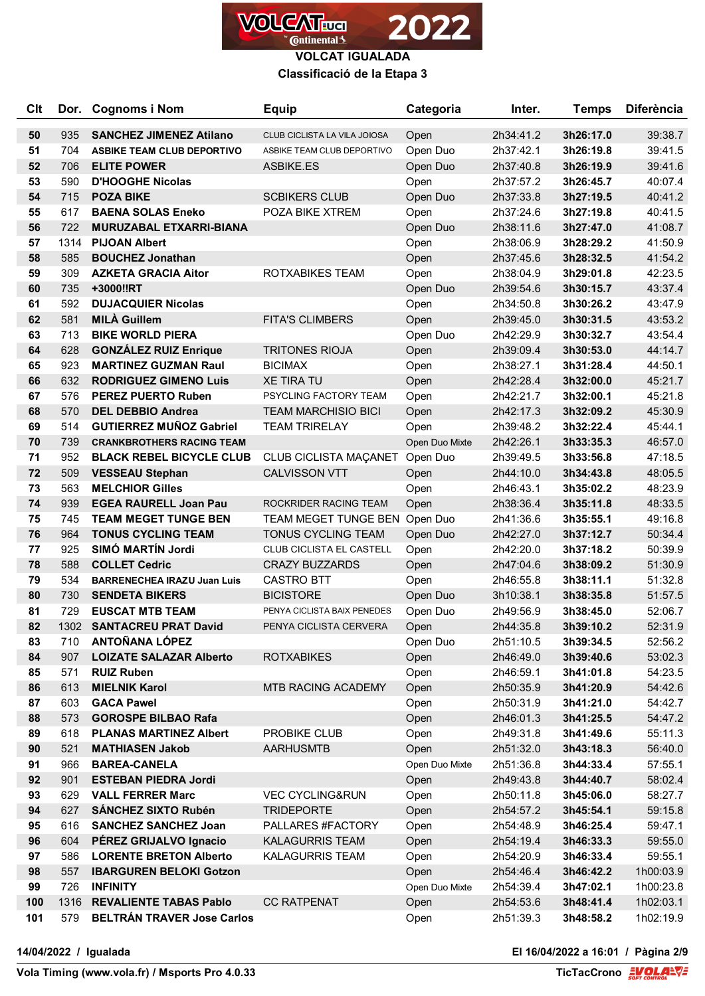

#### **Classificació de la Etapa 3**

| <b>C<sub>It</sub></b> | Dor. | <b>Cognoms i Nom</b>               | <b>Equip</b>                  | Categoria      | Inter.    | <b>Temps</b> | <b>Diferència</b> |
|-----------------------|------|------------------------------------|-------------------------------|----------------|-----------|--------------|-------------------|
| 50                    | 935  | <b>SANCHEZ JIMENEZ Atilano</b>     | CLUB CICLISTA LA VILA JOIOSA  | Open           | 2h34:41.2 | 3h26:17.0    | 39:38.7           |
| 51                    | 704  | <b>ASBIKE TEAM CLUB DEPORTIVO</b>  | ASBIKE TEAM CLUB DEPORTIVO    | Open Duo       | 2h37:42.1 | 3h26:19.8    | 39:41.5           |
| 52                    | 706  | <b>ELITE POWER</b>                 | ASBIKE.ES                     | Open Duo       | 2h37:40.8 | 3h26:19.9    | 39:41.6           |
| 53                    | 590  | <b>D'HOOGHE Nicolas</b>            |                               | Open           | 2h37:57.2 | 3h26:45.7    | 40:07.4           |
| 54                    | 715  | <b>POZA BIKE</b>                   | <b>SCBIKERS CLUB</b>          | Open Duo       | 2h37:33.8 | 3h27:19.5    | 40:41.2           |
| 55                    | 617  | <b>BAENA SOLAS Eneko</b>           | POZA BIKE XTREM               | Open           | 2h37:24.6 | 3h27:19.8    | 40:41.5           |
| 56                    | 722  | MURUZABAL ETXARRI-BIANA            |                               | Open Duo       | 2h38:11.6 | 3h27:47.0    | 41:08.7           |
| 57                    | 1314 | <b>PIJOAN Albert</b>               |                               | Open           | 2h38:06.9 | 3h28:29.2    | 41:50.9           |
| 58                    | 585  | <b>BOUCHEZ Jonathan</b>            |                               | Open           | 2h37:45.6 | 3h28:32.5    | 41:54.2           |
| 59                    | 309  | <b>AZKETA GRACIA Aitor</b>         | ROTXABIKES TEAM               | Open           | 2h38:04.9 | 3h29:01.8    | 42:23.5           |
| 60                    | 735  | +3000!!RT                          |                               | Open Duo       | 2h39:54.6 | 3h30:15.7    | 43:37.4           |
| 61                    | 592  | <b>DUJACQUIER Nicolas</b>          |                               | Open           | 2h34:50.8 | 3h30:26.2    | 43:47.9           |
| 62                    | 581  | <b>MILÀ Guillem</b>                | <b>FITA'S CLIMBERS</b>        | Open           | 2h39:45.0 | 3h30:31.5    | 43:53.2           |
| 63                    | 713  | <b>BIKE WORLD PIERA</b>            |                               | Open Duo       | 2h42:29.9 | 3h30:32.7    | 43:54.4           |
| 64                    | 628  | <b>GONZÁLEZ RUIZ Enrique</b>       | <b>TRITONES RIOJA</b>         | Open           | 2h39:09.4 | 3h30:53.0    | 44:14.7           |
| 65                    | 923  | <b>MARTINEZ GUZMAN Raul</b>        | <b>BICIMAX</b>                | Open           | 2h38:27.1 | 3h31:28.4    | 44:50.1           |
| 66                    | 632  | <b>RODRIGUEZ GIMENO Luis</b>       | <b>XE TIRA TU</b>             | Open           | 2h42:28.4 | 3h32:00.0    | 45:21.7           |
| 67                    | 576  | <b>PEREZ PUERTO Ruben</b>          | PSYCLING FACTORY TEAM         | Open           | 2h42:21.7 | 3h32:00.1    | 45:21.8           |
| 68                    | 570  | <b>DEL DEBBIO Andrea</b>           | <b>TEAM MARCHISIO BICI</b>    | Open           | 2h42:17.3 | 3h32:09.2    | 45:30.9           |
| 69                    | 514  | <b>GUTIERREZ MUÑOZ Gabriel</b>     | <b>TEAM TRIRELAY</b>          | Open           | 2h39:48.2 | 3h32:22.4    | 45:44.1           |
| 70                    | 739  | <b>CRANKBROTHERS RACING TEAM</b>   |                               | Open Duo Mixte | 2h42:26.1 | 3h33:35.3    | 46:57.0           |
| 71                    | 952  | <b>BLACK REBEL BICYCLE CLUB</b>    | CLUB CICLISTA MAÇANET         | Open Duo       | 2h39:49.5 | 3h33:56.8    | 47:18.5           |
| 72                    | 509  | <b>VESSEAU Stephan</b>             | <b>CALVISSON VTT</b>          | Open           | 2h44:10.0 | 3h34:43.8    | 48:05.5           |
| 73                    | 563  | <b>MELCHIOR Gilles</b>             |                               | Open           | 2h46:43.1 | 3h35:02.2    | 48:23.9           |
| 74                    | 939  | <b>EGEA RAURELL Joan Pau</b>       | ROCKRIDER RACING TEAM         | Open           | 2h38:36.4 | 3h35:11.8    | 48:33.5           |
| 75                    | 745  | <b>TEAM MEGET TUNGE BEN</b>        | TEAM MEGET TUNGE BEN Open Duo |                | 2h41:36.6 | 3h35:55.1    | 49:16.8           |
| 76                    | 964  | <b>TONUS CYCLING TEAM</b>          | <b>TONUS CYCLING TEAM</b>     | Open Duo       | 2h42:27.0 | 3h37:12.7    | 50:34.4           |
| 77                    | 925  | SIMÓ MARTÍN Jordi                  | CLUB CICLISTA EL CASTELL      | Open           | 2h42:20.0 | 3h37:18.2    | 50:39.9           |
| 78                    | 588  | <b>COLLET Cedric</b>               | <b>CRAZY BUZZARDS</b>         | Open           | 2h47:04.6 | 3h38:09.2    | 51:30.9           |
| 79                    | 534  | <b>BARRENECHEA IRAZU Juan Luis</b> | <b>CASTRO BTT</b>             | Open           | 2h46:55.8 | 3h38:11.1    | 51:32.8           |
| 80                    | 730  | <b>SENDETA BIKERS</b>              | <b>BICISTORE</b>              | Open Duo       | 3h10:38.1 | 3h38:35.8    | 51:57.5           |
| 81                    | 729  | <b>EUSCAT MTB TEAM</b>             | PENYA CICLISTA BAIX PENEDES   | Open Duo       | 2h49:56.9 | 3h38:45.0    | 52:06.7           |
| 82                    | 1302 | <b>SANTACREU PRAT David</b>        | PENYA CICLISTA CERVERA        | Open           | 2h44:35.8 | 3h39:10.2    | 52:31.9           |
| 83                    | 710  | <b>ANTOÑANA LÓPEZ</b>              |                               | Open Duo       | 2h51:10.5 | 3h39:34.5    | 52:56.2           |
| 84                    | 907  | <b>LOIZATE SALAZAR Alberto</b>     | <b>ROTXABIKES</b>             | Open           | 2h46:49.0 | 3h39:40.6    | 53:02.3           |
| 85                    | 571  | <b>RUIZ Ruben</b>                  |                               | Open           | 2h46:59.1 | 3h41:01.8    | 54:23.5           |
| 86                    | 613  | <b>MIELNIK Karol</b>               | MTB RACING ACADEMY            | Open           | 2h50:35.9 | 3h41:20.9    | 54:42.6           |
| 87                    | 603  | <b>GACA Pawel</b>                  |                               | Open           | 2h50:31.9 | 3h41:21.0    | 54:42.7           |
| 88                    | 573  | <b>GOROSPE BILBAO Rafa</b>         |                               | Open           | 2h46:01.3 | 3h41:25.5    | 54:47.2           |
| 89                    | 618  | <b>PLANAS MARTINEZ Albert</b>      | PROBIKE CLUB                  | Open           | 2h49:31.8 | 3h41:49.6    | 55:11.3           |
| 90                    | 521  | <b>MATHIASEN Jakob</b>             | <b>AARHUSMTB</b>              | Open           | 2h51:32.0 | 3h43:18.3    | 56:40.0           |
| 91                    | 966  | <b>BAREA-CANELA</b>                |                               | Open Duo Mixte | 2h51:36.8 | 3h44:33.4    | 57:55.1           |
| 92                    | 901  | <b>ESTEBAN PIEDRA Jordi</b>        |                               | Open           | 2h49:43.8 | 3h44:40.7    | 58:02.4           |
| 93                    | 629  | <b>VALL FERRER Marc</b>            | <b>VEC CYCLING&amp;RUN</b>    | Open           | 2h50:11.8 | 3h45:06.0    | 58:27.7           |
| 94                    | 627  | <b>SÁNCHEZ SIXTO Rubén</b>         | <b>TRIDEPORTE</b>             | Open           | 2h54:57.2 | 3h45:54.1    | 59:15.8           |
| 95                    | 616  | <b>SANCHEZ SANCHEZ Joan</b>        | PALLARES #FACTORY             | Open           | 2h54:48.9 | 3h46:25.4    | 59:47.1           |
| 96                    | 604  | PÉREZ GRIJALVO Ignacio             | <b>KALAGURRIS TEAM</b>        | Open           | 2h54:19.4 | 3h46:33.3    | 59:55.0           |
| 97                    | 586  | <b>LORENTE BRETON Alberto</b>      | <b>KALAGURRIS TEAM</b>        | Open           | 2h54:20.9 | 3h46:33.4    | 59:55.1           |
| 98                    | 557  | <b>IBARGUREN BELOKI Gotzon</b>     |                               | Open           | 2h54:46.4 | 3h46:42.2    | 1h00:03.9         |
| 99                    | 726  | <b>INFINITY</b>                    |                               | Open Duo Mixte | 2h54:39.4 | 3h47:02.1    | 1h00:23.8         |
| 100                   | 1316 | <b>REVALIENTE TABAS Pablo</b>      | <b>CC RATPENAT</b>            | Open           | 2h54:53.6 | 3h48:41.4    | 1h02:03.1         |
| 101                   | 579  | <b>BELTRÁN TRAVER Jose Carlos</b>  |                               | Open           | 2h51:39.3 | 3h48:58.2    | 1h02:19.9         |

**14/04/2022 / Igualada El 16/04/2022 a 16:01 / Pàgina 2/9**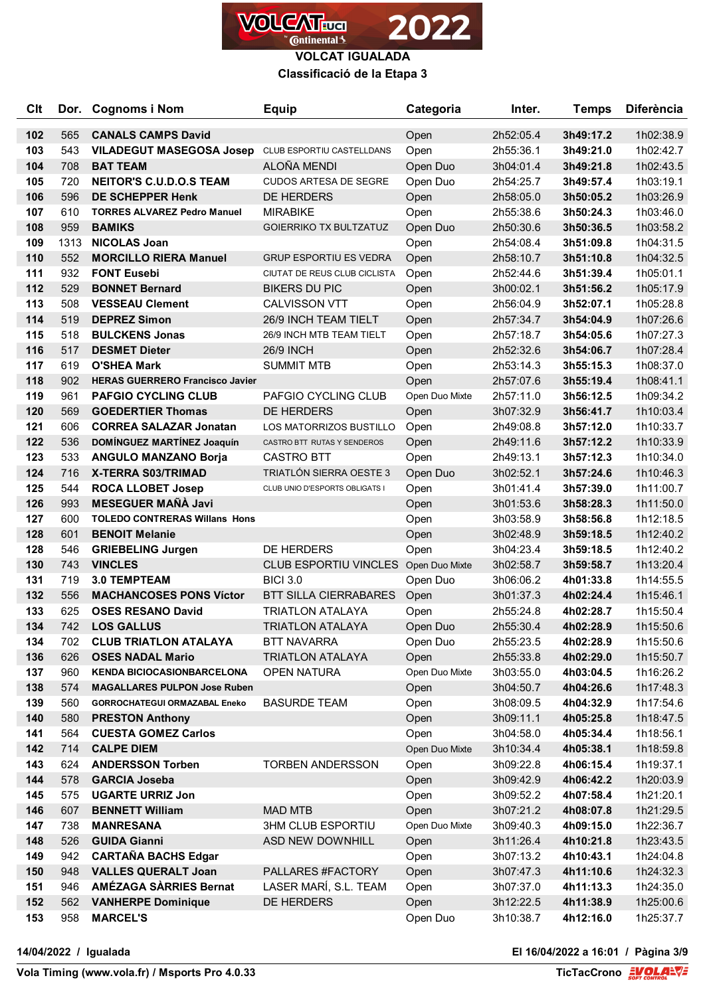

**VOLCAT IGUALADA Classificació de la Etapa 3**

| Clt        |            | Dor. Cognoms i Nom                                          | <b>Equip</b>                               | Categoria      | Inter.                 | <b>Temps</b>           | <b>Diferència</b>      |
|------------|------------|-------------------------------------------------------------|--------------------------------------------|----------------|------------------------|------------------------|------------------------|
| 102        | 565        | <b>CANALS CAMPS David</b>                                   |                                            | Open           | 2h52:05.4              | 3h49:17.2              | 1h02:38.9              |
| 103        | 543        | <b>VILADEGUT MASEGOSA Josep</b>                             | CLUB ESPORTIU CASTELLDANS                  | Open           | 2h55:36.1              | 3h49:21.0              | 1h02:42.7              |
| 104        | 708        | <b>BAT TEAM</b>                                             | ALOÑA MENDI                                | Open Duo       | 3h04:01.4              | 3h49:21.8              | 1h02:43.5              |
| 105        | 720        | <b>NEITOR'S C.U.D.O.S TEAM</b>                              | <b>CUDOS ARTESA DE SEGRE</b>               | Open Duo       | 2h54:25.7              | 3h49:57.4              | 1h03:19.1              |
| 106        | 596        | DE SCHEPPER Henk                                            | DE HERDERS                                 | Open           | 2h58:05.0              | 3h50:05.2              | 1h03:26.9              |
| 107        | 610        | <b>TORRES ALVAREZ Pedro Manuel</b>                          | <b>MIRABIKE</b>                            | Open           | 2h55:38.6              | 3h50:24.3              | 1h03:46.0              |
| 108        | 959        | <b>BAMIKS</b>                                               | <b>GOIERRIKO TX BULTZATUZ</b>              | Open Duo       | 2h50:30.6              | 3h50:36.5              | 1h03:58.2              |
| 109        | 1313       | <b>NICOLAS Joan</b>                                         |                                            | Open           | 2h54:08.4              | 3h51:09.8              | 1h04:31.5              |
| 110        | 552        | <b>MORCILLO RIERA Manuel</b>                                | <b>GRUP ESPORTIU ES VEDRA</b>              | Open           | 2h58:10.7              | 3h51:10.8              | 1h04:32.5              |
| 111        | 932        | <b>FONT Eusebi</b>                                          | CIUTAT DE REUS CLUB CICLISTA               | Open           | 2h52:44.6              | 3h51:39.4              | 1h05:01.1              |
| 112        | 529        | <b>BONNET Bernard</b>                                       | <b>BIKERS DU PIC</b>                       | Open           | 3h00:02.1              | 3h51:56.2              | 1h05:17.9              |
| 113        | 508        | <b>VESSEAU Clement</b>                                      | <b>CALVISSON VTT</b>                       | Open           | 2h56:04.9              | 3h52:07.1              | 1h05:28.8              |
| 114        | 519        | <b>DEPREZ Simon</b>                                         | 26/9 INCH TEAM TIELT                       | Open           | 2h57:34.7              | 3h54:04.9              | 1h07:26.6              |
| 115        | 518        | <b>BULCKENS Jonas</b>                                       | 26/9 INCH MTB TEAM TIELT                   | Open           | 2h57:18.7              | 3h54:05.6              | 1h07:27.3              |
| 116        | 517        | <b>DESMET Dieter</b>                                        | <b>26/9 INCH</b>                           | Open           | 2h52:32.6              | 3h54:06.7              | 1h07:28.4              |
| 117        | 619        | <b>O'SHEA Mark</b>                                          | <b>SUMMIT MTB</b>                          | Open           | 2h53:14.3              | 3h55:15.3              | 1h08:37.0              |
| 118        | 902        | <b>HERAS GUERRERO Francisco Javier</b>                      |                                            | Open           | 2h57:07.6              | 3h55:19.4              | 1h08:41.1              |
| 119        | 961        | <b>PAFGIO CYCLING CLUB</b>                                  | PAFGIO CYCLING CLUB                        | Open Duo Mixte | 2h57:11.0              | 3h56:12.5              | 1h09:34.2              |
| 120        | 569        | <b>GOEDERTIER Thomas</b>                                    | DE HERDERS                                 | Open           | 3h07:32.9              | 3h56:41.7              | 1h10:03.4              |
| 121        | 606        | <b>CORREA SALAZAR Jonatan</b>                               | LOS MATORRIZOS BUSTILLO                    | Open           | 2h49:08.8              | 3h57:12.0              | 1h10:33.7              |
| 122        | 536        | DOMÍNGUEZ MARTÍNEZ Joaquín                                  | CASTRO BTT RUTAS Y SENDEROS                | Open           | 2h49:11.6              | 3h57:12.2              | 1h10:33.9              |
| 123        | 533        | <b>ANGULO MANZANO Borja</b>                                 | <b>CASTRO BTT</b>                          | Open           | 2h49:13.1              | 3h57:12.3              | 1h10:34.0              |
| 124        | 716        | X-TERRA S03/TRIMAD                                          | TRIATLÓN SIERRA OESTE 3                    | Open Duo       | 3h02:52.1              | 3h57:24.6              | 1h10:46.3              |
| 125        | 544        | <b>ROCA LLOBET Josep</b>                                    | CLUB UNIO D'ESPORTS OBLIGATS I             | Open           | 3h01:41.4              | 3h57:39.0              | 1h11:00.7              |
| 126        | 993        | <b>MESEGUER MAÑÀ Javi</b>                                   |                                            | Open           | 3h01:53.6              | 3h58:28.3              | 1h11:50.0              |
| 127        | 600        | <b>TOLEDO CONTRERAS Willans Hons</b>                        |                                            | Open           | 3h03:58.9              | 3h58:56.8              | 1h12:18.5              |
| 128        | 601        | <b>BENOIT Melanie</b>                                       |                                            | Open           | 3h02:48.9              | 3h59:18.5              | 1h12:40.2              |
| 128        | 546        | <b>GRIEBELING Jurgen</b>                                    | DE HERDERS                                 | Open           | 3h04:23.4              | 3h59:18.5              | 1h12:40.2              |
| 130        | 743        | <b>VINCLES</b>                                              | CLUB ESPORTIU VINCLES Open Duo Mixte       |                | 3h02:58.7              | 3h59:58.7              | 1h13:20.4              |
| 131        | 719        | <b>3.0 TEMPTEAM</b>                                         | <b>BICI 3.0</b>                            | Open Duo       | 3h06:06.2              | 4h01:33.8              | 1h14:55.5              |
| 132        | 556        | <b>MACHANCOSES PONS Víctor</b>                              | <b>BTT SILLA CIERRABARES</b>               | Open           | 3h01:37.3              | 4h02:24.4              | 1h15:46.1              |
| 133        | 625        | <b>OSES RESANO David</b>                                    | <b>TRIATLON ATALAYA</b>                    | Open           | 2h55:24.8              | 4h02:28.7              | 1h15:50.4              |
| 134        | 742        | <b>LOS GALLUS</b>                                           | <b>TRIATLON ATALAYA</b>                    | Open Duo       | 2h55:30.4              | 4h02:28.9              | 1h15:50.6              |
| 134        | 702        | <b>CLUB TRIATLON ATALAYA</b>                                | <b>BTT NAVARRA</b>                         | Open Duo       | 2h55:23.5              | 4h02:28.9              | 1h15:50.6              |
| 136        | 626        | <b>OSES NADAL Mario</b>                                     | <b>TRIATLON ATALAYA</b>                    | Open           | 2h55:33.8              | 4h02:29.0              | 1h15:50.7              |
| 137        | 960        | <b>KENDA BICIOCASIONBARCELONA</b>                           | OPEN NATURA                                | Open Duo Mixte | 3h03:55.0              | 4h03:04.5              | 1h16:26.2              |
| 138        | 574        | <b>MAGALLARES PULPON Jose Ruben</b>                         |                                            | Open           | 3h04:50.7              | 4h04:26.6              | 1h17:48.3              |
| 139        | 560        | <b>GORROCHATEGUI ORMAZABAL Eneko</b>                        | <b>BASURDE TEAM</b>                        | Open           | 3h08:09.5              | 4h04:32.9              | 1h17:54.6              |
| 140        | 580        | <b>PRESTON Anthony</b>                                      |                                            | Open           | 3h09:11.1              | 4h05:25.8              | 1h18:47.5              |
| 141        | 564        | <b>CUESTA GOMEZ Carlos</b>                                  |                                            | Open           | 3h04:58.0              | 4h05:34.4              | 1h18:56.1              |
| 142        | 714        | <b>CALPE DIEM</b>                                           |                                            | Open Duo Mixte | 3h10:34.4              | 4h05:38.1              | 1h18:59.8              |
| 143        | 624        | <b>ANDERSSON Torben</b>                                     | <b>TORBEN ANDERSSON</b>                    | Open           | 3h09:22.8              | 4h06:15.4              | 1h19:37.1              |
| 144        | 578        | <b>GARCIA Joseba</b>                                        |                                            | Open           | 3h09:42.9              | 4h06:42.2              | 1h20:03.9              |
| 145        | 575        | <b>UGARTE URRIZ Jon</b>                                     |                                            | Open           | 3h09:52.2              | 4h07:58.4              | 1h21:20.1              |
| 146        | 607        | <b>BENNETT William</b>                                      | <b>MAD MTB</b>                             | Open           | 3h07:21.2              | 4h08:07.8              | 1h21:29.5              |
| 147        | 738        | <b>MANRESANA</b>                                            | <b>3HM CLUB ESPORTIU</b>                   | Open Duo Mixte | 3h09:40.3              | 4h09:15.0              | 1h22:36.7              |
| 148        | 526        | <b>GUIDA Gianni</b>                                         | ASD NEW DOWNHILL                           | Open           | 3h11:26.4              | 4h10:21.8              | 1h23:43.5              |
| 149        | 942        | <b>CARTAÑA BACHS Edgar</b>                                  |                                            | Open           | 3h07:13.2              | 4h10:43.1              | 1h24:04.8              |
| 150<br>151 | 948<br>946 | <b>VALLES QUERALT Joan</b><br><b>AMÉZAGA SÀRRIES Bernat</b> | PALLARES #FACTORY<br>LASER MARÍ, S.L. TEAM | Open           | 3h07:47.3              | 4h11:10.6<br>4h11:13.3 | 1h24:32.3              |
| 152        | 562        | <b>VANHERPE Dominique</b>                                   | DE HERDERS                                 | Open<br>Open   | 3h07:37.0<br>3h12:22.5 | 4h11:38.9              | 1h24:35.0<br>1h25:00.6 |
| 153        | 958        | <b>MARCEL'S</b>                                             |                                            | Open Duo       | 3h10:38.7              | 4h12:16.0              | 1h25:37.7              |
|            |            |                                                             |                                            |                |                        |                        |                        |

**14/04/2022 / Igualada El 16/04/2022 a 16:01 / Pàgina 3/9**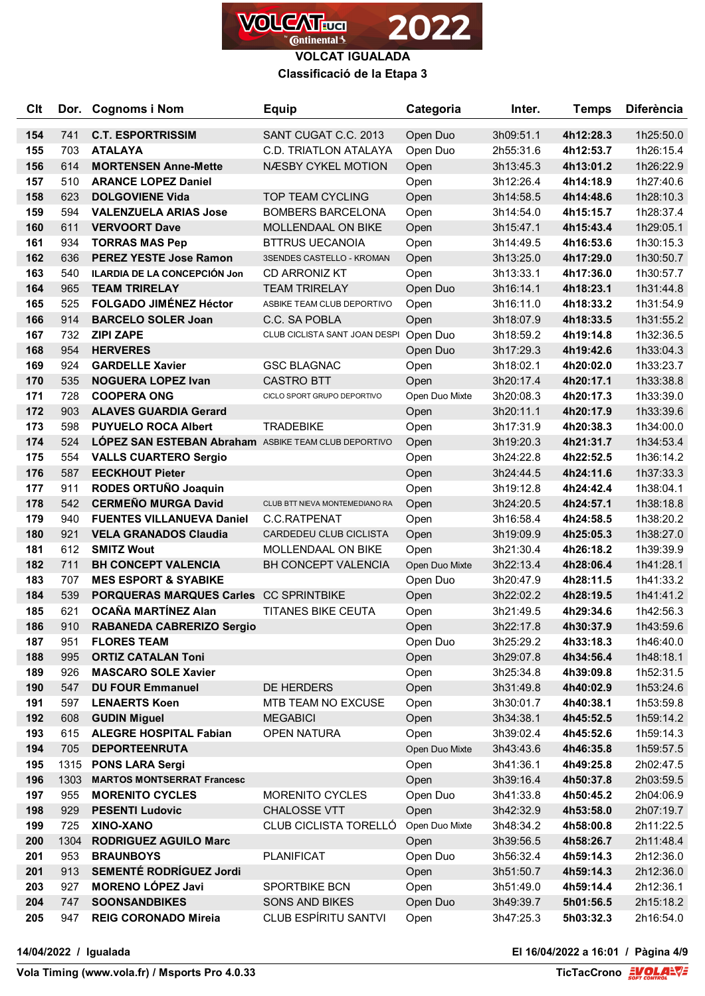

#### **Classificació de la Etapa 3**

| <b>C<sub>It</sub></b> |            | Dor. Cognoms i Nom                                   | <b>Equip</b>                           | Categoria      | Inter.    | <b>Temps</b>           | <b>Diferència</b> |
|-----------------------|------------|------------------------------------------------------|----------------------------------------|----------------|-----------|------------------------|-------------------|
| 154                   | 741        | <b>C.T. ESPORTRISSIM</b>                             | SANT CUGAT C.C. 2013                   | Open Duo       | 3h09:51.1 | 4h12:28.3              | 1h25:50.0         |
| 155                   | 703        | <b>ATALAYA</b>                                       | <b>C.D. TRIATLON ATALAYA</b>           | Open Duo       | 2h55:31.6 | 4h12:53.7              | 1h26:15.4         |
| 156                   | 614        | <b>MORTENSEN Anne-Mette</b>                          | NÆSBY CYKEL MOTION                     | Open           | 3h13:45.3 | 4h13:01.2              | 1h26:22.9         |
| 157                   | 510        | <b>ARANCE LOPEZ Daniel</b>                           |                                        | Open           | 3h12:26.4 | 4h14:18.9              | 1h27:40.6         |
| 158                   | 623        | <b>DOLGOVIENE Vida</b>                               | <b>TOP TEAM CYCLING</b>                | Open           | 3h14:58.5 | 4h14:48.6              | 1h28:10.3         |
| 159                   | 594        | <b>VALENZUELA ARIAS Jose</b>                         | <b>BOMBERS BARCELONA</b>               | Open           | 3h14:54.0 | 4h15:15.7              | 1h28:37.4         |
| 160                   | 611        | <b>VERVOORT Dave</b>                                 | <b>MOLLENDAAL ON BIKE</b>              | Open           | 3h15:47.1 | 4h15:43.4              | 1h29:05.1         |
| 161                   | 934        | <b>TORRAS MAS Pep</b>                                | <b>BTTRUS UECANOIA</b>                 | Open           | 3h14:49.5 | 4h16:53.6              | 1h30:15.3         |
| 162                   | 636        | <b>PEREZ YESTE Jose Ramon</b>                        | 3SENDES CASTELLO - KROMAN              | Open           | 3h13:25.0 | 4h17:29.0              | 1h30:50.7         |
| 163                   | 540        | ILARDIA DE LA CONCEPCIÓN Jon                         | CD ARRONIZ KT                          | Open           | 3h13:33.1 | 4h17:36.0              | 1h30:57.7         |
| 164                   | 965        | <b>TEAM TRIRELAY</b>                                 | <b>TEAM TRIRELAY</b>                   | Open Duo       | 3h16:14.1 | 4h18:23.1              | 1h31:44.8         |
| 165                   | 525        | <b>FOLGADO JIMÉNEZ Héctor</b>                        | ASBIKE TEAM CLUB DEPORTIVO             | Open           | 3h16:11.0 | 4h18:33.2              | 1h31:54.9         |
| 166                   | 914        | <b>BARCELO SOLER Joan</b>                            | C.C. SA POBLA                          | Open           | 3h18:07.9 | 4h18:33.5              | 1h31:55.2         |
| 167                   | 732        | <b>ZIPI ZAPE</b>                                     | CLUB CICLISTA SANT JOAN DESPI Open Duo |                | 3h18:59.2 | 4h19:14.8              | 1h32:36.5         |
| 168                   | 954        | <b>HERVERES</b>                                      |                                        | Open Duo       | 3h17:29.3 | 4h19:42.6              | 1h33:04.3         |
| 169                   | 924        | <b>GARDELLE Xavier</b>                               | <b>GSC BLAGNAC</b>                     | Open           | 3h18:02.1 | 4h20:02.0              | 1h33:23.7         |
| 170                   | 535        | <b>NOGUERA LOPEZ Ivan</b>                            | <b>CASTRO BTT</b>                      | Open           | 3h20:17.4 | 4h20:17.1              | 1h33:38.8         |
| 171                   | 728        | <b>COOPERA ONG</b>                                   | CICLO SPORT GRUPO DEPORTIVO            | Open Duo Mixte | 3h20:08.3 | 4h20:17.3              | 1h33:39.0         |
| 172                   | 903        | <b>ALAVES GUARDIA Gerard</b>                         |                                        | Open           | 3h20:11.1 | 4h20:17.9              | 1h33:39.6         |
| 173                   | 598        | <b>PUYUELO ROCA Albert</b>                           | <b>TRADEBIKE</b>                       | Open           | 3h17:31.9 | 4h20:38.3              | 1h34:00.0         |
| 174                   | 524        | LÓPEZ SAN ESTEBAN Abraham ASBIKE TEAM CLUB DEPORTIVO |                                        | Open           | 3h19:20.3 | 4h21:31.7              | 1h34:53.4         |
| 175                   | 554        | <b>VALLS CUARTERO Sergio</b>                         |                                        | Open           | 3h24:22.8 | 4h22:52.5              | 1h36:14.2         |
| 176                   | 587        | <b>EECKHOUT Pieter</b>                               |                                        | Open           | 3h24:44.5 | 4h24:11.6              | 1h37:33.3         |
| 177                   | 911        | RODES ORTUÑO Joaquin                                 |                                        | Open           | 3h19:12.8 | 4h24:42.4              | 1h38:04.1         |
| 178                   | 542        | <b>CERMEÑO MURGA David</b>                           | CLUB BTT NIEVA MONTEMEDIANO RA         | Open           | 3h24:20.5 | 4h24:57.1              | 1h38:18.8         |
| 179                   | 940        | <b>FUENTES VILLANUEVA Daniel</b>                     | C.C.RATPENAT                           | Open           | 3h16:58.4 | 4h24:58.5              | 1h38:20.2         |
| 180                   | 921        | <b>VELA GRANADOS Claudia</b>                         | CARDEDEU CLUB CICLISTA                 | Open           | 3h19:09.9 | 4h25:05.3              | 1h38:27.0         |
| 181                   | 612        | <b>SMITZ Wout</b>                                    | MOLLENDAAL ON BIKE                     | Open           | 3h21:30.4 | 4h26:18.2              | 1h39:39.9         |
| 182                   | 711        | <b>BH CONCEPT VALENCIA</b>                           | <b>BH CONCEPT VALENCIA</b>             | Open Duo Mixte | 3h22:13.4 | 4h28:06.4              | 1h41:28.1         |
| 183                   | 707        | <b>MES ESPORT &amp; SYABIKE</b>                      |                                        | Open Duo       | 3h20:47.9 | 4h28:11.5              | 1h41:33.2         |
| 184                   | 539        | PORQUERAS MARQUES Carles CC SPRINTBIKE               |                                        | Open           | 3h22:02.2 | 4h28:19.5              | 1h41:41.2         |
| 185                   | 621        | <b>OCAÑA MARTÍNEZ Alan</b>                           | <b>TITANES BIKE CEUTA</b>              | Open           | 3h21:49.5 | 4h29:34.6              | 1h42:56.3         |
| 186                   | 910        | <b>RABANEDA CABRERIZO Sergio</b>                     |                                        | Open           | 3h22:17.8 | 4h30:37.9              | 1h43:59.6         |
| 187                   | 951        | <b>FLORES TEAM</b>                                   |                                        | Open Duo       | 3h25:29.2 | 4h33:18.3              | 1h46:40.0         |
| 188                   | 995        | <b>ORTIZ CATALAN Toni</b>                            |                                        | Open           | 3h29:07.8 | 4h34:56.4              | 1h48:18.1         |
| 189                   | 926        | <b>MASCARO SOLE Xavier</b>                           |                                        | Open           | 3h25:34.8 | 4h39:09.8              | 1h52:31.5         |
| 190                   | 547        | <b>DU FOUR Emmanuel</b>                              | DE HERDERS                             | Open           | 3h31:49.8 | 4h40:02.9              | 1h53:24.6         |
| 191                   | 597        | <b>LENAERTS Koen</b>                                 | MTB TEAM NO EXCUSE                     | Open           | 3h30:01.7 | 4h40:38.1              | 1h53:59.8         |
| 192                   | 608        | <b>GUDIN Miguel</b>                                  | <b>MEGABICI</b>                        | Open           | 3h34:38.1 | 4h45:52.5              | 1h59:14.2         |
| 193                   | 615        | <b>ALEGRE HOSPITAL Fabian</b>                        | <b>OPEN NATURA</b>                     | Open           | 3h39:02.4 | 4h45:52.6              | 1h59:14.3         |
| 194                   | 705        | <b>DEPORTEENRUTA</b>                                 |                                        | Open Duo Mixte | 3h43:43.6 | 4h46:35.8              | 1h59:57.5         |
| 195                   | 1315       | <b>PONS LARA Sergi</b>                               |                                        | Open           | 3h41:36.1 | 4h49:25.8              | 2h02:47.5         |
| 196                   | 1303       | <b>MARTOS MONTSERRAT Francesc</b>                    |                                        | Open           | 3h39:16.4 | 4h50:37.8              | 2h03:59.5         |
| 197                   | 955        | <b>MORENITO CYCLES</b>                               | <b>MORENITO CYCLES</b>                 | Open Duo       | 3h41:33.8 | 4h50:45.2              | 2h04:06.9         |
| 198                   | 929        | <b>PESENTI Ludovic</b><br>XINO-XANO                  | CHALOSSE VTT                           | Open           | 3h42:32.9 | 4h53:58.0              | 2h07:19.7         |
| 199                   | 725        |                                                      | <b>CLUB CICLISTA TORELLÓ</b>           | Open Duo Mixte | 3h48:34.2 | 4h58:00.8              | 2h11:22.5         |
| 200                   | 1304       | <b>RODRIGUEZ AGUILO Marc</b>                         |                                        | Open           | 3h39:56.5 | 4h58:26.7              | 2h11:48.4         |
| 201                   | 953        | <b>BRAUNBOYS</b><br>SEMENTÉ RODRÍGUEZ Jordi          | <b>PLANIFICAT</b>                      | Open Duo       | 3h56:32.4 | 4h59:14.3              | 2h12:36.0         |
| 201<br>203            | 913<br>927 | <b>MORENO LÓPEZ Javi</b>                             | SPORTBIKE BCN                          | Open           | 3h51:50.7 | 4h59:14.3              | 2h12:36.0         |
| 204                   | 747        | <b>SOONSANDBIKES</b>                                 | <b>SONS AND BIKES</b>                  | Open           | 3h51:49.0 | 4h59:14.4<br>5h01:56.5 | 2h12:36.1         |
| 205                   | 947        | REIG CORONADO Mireia                                 | <b>CLUB ESPÍRITU SANTVI</b>            | Open Duo       | 3h49:39.7 |                        | 2h15:18.2         |
|                       |            |                                                      |                                        | Open           | 3h47:25.3 | 5h03:32.3              | 2h16:54.0         |

**14/04/2022 / Igualada El 16/04/2022 a 16:01 / Pàgina 4/9**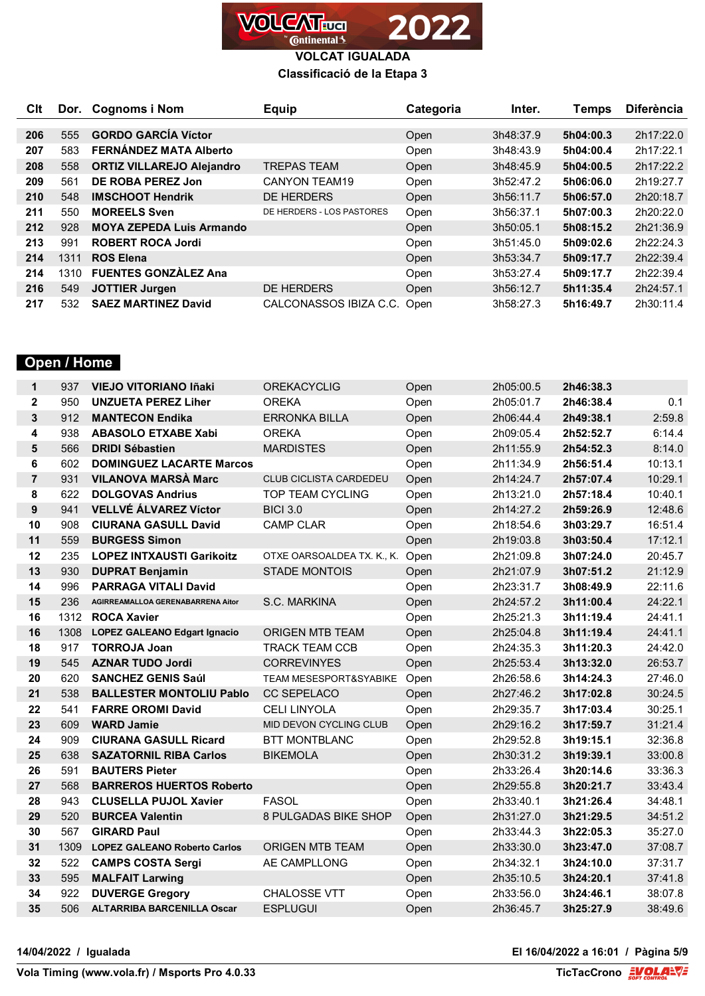

#### **Classificació de la Etapa 3**

| Clt |      | Dor. Cognoms i Nom               | <b>Equip</b>              | Categoria | Inter.    | <b>Temps</b> | <b>Diferència</b> |
|-----|------|----------------------------------|---------------------------|-----------|-----------|--------------|-------------------|
|     |      |                                  |                           |           |           |              |                   |
| 206 | 555  | <b>GORDO GARCÍA Víctor</b>       |                           | Open      | 3h48:37.9 | 5h04:00.3    | 2h17:22.0         |
| 207 | 583  | <b>FERNÁNDEZ MATA Alberto</b>    |                           | Open      | 3h48:43.9 | 5h04:00.4    | 2h17:22.1         |
| 208 | 558  | <b>ORTIZ VILLAREJO Alejandro</b> | <b>TREPAS TEAM</b>        | Open      | 3h48:45.9 | 5h04:00.5    | 2h17:22.2         |
| 209 | 561  | DE ROBA PEREZ Jon                | CANYON TEAM19             | Open      | 3h52:47.2 | 5h06:06.0    | 2h19:27.7         |
| 210 | 548  | <b>IMSCHOOT Hendrik</b>          | <b>DE HERDERS</b>         | Open      | 3h56:11.7 | 5h06:57.0    | 2h20:18.7         |
| 211 | 550  | <b>MOREELS Sven</b>              | DE HERDERS - LOS PASTORES | Open      | 3h56:37.1 | 5h07:00.3    | 2h20:22.0         |
| 212 | 928  | <b>MOYA ZEPEDA Luis Armando</b>  |                           | Open      | 3h50:05.1 | 5h08:15.2    | 2h21:36.9         |
| 213 | 991  | <b>ROBERT ROCA Jordi</b>         |                           | Open      | 3h51:45.0 | 5h09:02.6    | 2h22:24.3         |
| 214 | 1311 | <b>ROS Elena</b>                 |                           | Open      | 3h53:34.7 | 5h09:17.7    | 2h22:39.4         |
| 214 | 1310 | <b>FUENTES GONZÀLEZ Ana</b>      |                           | Open      | 3h53:27.4 | 5h09:17.7    | 2h22:39.4         |
| 216 | 549  | <b>JOTTIER Jurgen</b>            | DE HERDERS                | Open      | 3h56:12.7 | 5h11:35.4    | 2h24:57.1         |
| 217 | 532  | <b>SAEZ MARTINEZ David</b>       | CALCONASSOS IBIZA C.C.    | Open      | 3h58:27.3 | 5h16:49.7    | 2h30:11.4         |

# **Open / Home**

| $\mathbf 1$    | 937  | <b>VIEJO VITORIANO Iñaki</b>        | <b>OREKACYCLIG</b>              | Open | 2h05:00.5 | 2h46:38.3 |         |
|----------------|------|-------------------------------------|---------------------------------|------|-----------|-----------|---------|
| $\mathbf{2}$   | 950  | <b>UNZUETA PEREZ Liher</b>          | <b>OREKA</b>                    | Open | 2h05:01.7 | 2h46:38.4 | 0.1     |
| 3              | 912  | <b>MANTECON Endika</b>              | <b>ERRONKA BILLA</b>            | Open | 2h06:44.4 | 2h49:38.1 | 2:59.8  |
| 4              | 938  | <b>ABASOLO ETXABE Xabi</b>          | <b>OREKA</b>                    | Open | 2h09:05.4 | 2h52:52.7 | 6:14.4  |
| 5              | 566  | <b>DRIDI Sébastien</b>              | <b>MARDISTES</b>                | Open | 2h11:55.9 | 2h54:52.3 | 8:14.0  |
| 6              | 602  | <b>DOMINGUEZ LACARTE Marcos</b>     |                                 | Open | 2h11:34.9 | 2h56:51.4 | 10:13.1 |
| $\overline{7}$ | 931  | <b>VILANOVA MARSÀ Marc</b>          | <b>CLUB CICLISTA CARDEDEU</b>   | Open | 2h14:24.7 | 2h57:07.4 | 10:29.1 |
| 8              | 622  | <b>DOLGOVAS Andrius</b>             | <b>TOP TEAM CYCLING</b>         | Open | 2h13:21.0 | 2h57:18.4 | 10:40.1 |
| 9              | 941  | <b>VELLVÉ ÁLVAREZ Víctor</b>        | <b>BICI 3.0</b>                 | Open | 2h14:27.2 | 2h59:26.9 | 12:48.6 |
| 10             | 908  | <b>CIURANA GASULL David</b>         | <b>CAMP CLAR</b>                | Open | 2h18:54.6 | 3h03:29.7 | 16:51.4 |
| 11             | 559  | <b>BURGESS Simon</b>                |                                 | Open | 2h19:03.8 | 3h03:50.4 | 17:12.1 |
| 12             | 235  | <b>LOPEZ INTXAUSTI Garikoitz</b>    | OTXE OARSOALDEA TX. K., K. Open |      | 2h21:09.8 | 3h07:24.0 | 20:45.7 |
| 13             | 930  | <b>DUPRAT Benjamin</b>              | <b>STADE MONTOIS</b>            | Open | 2h21:07.9 | 3h07:51.2 | 21:12.9 |
| 14             | 996  | <b>PARRAGA VITALI David</b>         |                                 | Open | 2h23:31.7 | 3h08:49.9 | 22:11.6 |
| 15             | 236  | AGIRREAMALLOA GERENABARRENA Aitor   | S.C. MARKINA                    | Open | 2h24:57.2 | 3h11:00.4 | 24:22.1 |
| 16             | 1312 | <b>ROCA Xavier</b>                  |                                 | Open | 2h25:21.3 | 3h11:19.4 | 24:41.1 |
| 16             | 1308 | <b>LOPEZ GALEANO Edgart Ignacio</b> | <b>ORIGEN MTB TEAM</b>          | Open | 2h25:04.8 | 3h11:19.4 | 24:41.1 |
| 18             | 917  | <b>TORROJA Joan</b>                 | <b>TRACK TEAM CCB</b>           | Open | 2h24:35.3 | 3h11:20.3 | 24:42.0 |
| 19             | 545  | <b>AZNAR TUDO Jordi</b>             | <b>CORREVINYES</b>              | Open | 2h25:53.4 | 3h13:32.0 | 26:53.7 |
| 20             | 620  | <b>SANCHEZ GENIS Saúl</b>           | TEAM MESESPORT&SYABIKE          | Open | 2h26:58.6 | 3h14:24.3 | 27:46.0 |
| 21             | 538  | <b>BALLESTER MONTOLIU Pablo</b>     | CC SEPELACO                     | Open | 2h27:46.2 | 3h17:02.8 | 30:24.5 |
| 22             | 541  | <b>FARRE OROMI David</b>            | <b>CELI LINYOLA</b>             | Open | 2h29:35.7 | 3h17:03.4 | 30:25.1 |
| 23             | 609  | <b>WARD Jamie</b>                   | MID DEVON CYCLING CLUB          | Open | 2h29:16.2 | 3h17:59.7 | 31:21.4 |
| 24             | 909  | <b>CIURANA GASULL Ricard</b>        | <b>BTT MONTBLANC</b>            | Open | 2h29:52.8 | 3h19:15.1 | 32:36.8 |
| 25             | 638  | <b>SAZATORNIL RIBA Carlos</b>       | <b>BIKEMOLA</b>                 | Open | 2h30:31.2 | 3h19:39.1 | 33:00.8 |
| 26             | 591  | <b>BAUTERS Pieter</b>               |                                 | Open | 2h33:26.4 | 3h20:14.6 | 33:36.3 |
| 27             | 568  | <b>BARREROS HUERTOS Roberto</b>     |                                 | Open | 2h29:55.8 | 3h20:21.7 | 33:43.4 |
| 28             | 943  | <b>CLUSELLA PUJOL Xavier</b>        | <b>FASOL</b>                    | Open | 2h33:40.1 | 3h21:26.4 | 34:48.1 |
| 29             | 520  | <b>BURCEA Valentin</b>              | 8 PULGADAS BIKE SHOP            | Open | 2h31:27.0 | 3h21:29.5 | 34:51.2 |
| 30             | 567  | <b>GIRARD Paul</b>                  |                                 | Open | 2h33:44.3 | 3h22:05.3 | 35:27.0 |
| 31             | 1309 | <b>LOPEZ GALEANO Roberto Carlos</b> | <b>ORIGEN MTB TEAM</b>          | Open | 2h33:30.0 | 3h23:47.0 | 37:08.7 |
| 32             | 522  | <b>CAMPS COSTA Sergi</b>            | AE CAMPLLONG                    | Open | 2h34:32.1 | 3h24:10.0 | 37:31.7 |
| 33             | 595  | <b>MALFAIT Larwing</b>              |                                 | Open | 2h35:10.5 | 3h24:20.1 | 37:41.8 |
| 34             | 922  | <b>DUVERGE Gregory</b>              | <b>CHALOSSE VTT</b>             | Open | 2h33:56.0 | 3h24:46.1 | 38:07.8 |
| 35             | 506  | <b>ALTARRIBA BARCENILLA Oscar</b>   | <b>ESPLUGUI</b>                 | Open | 2h36:45.7 | 3h25:27.9 | 38:49.6 |
|                |      |                                     |                                 |      |           |           |         |

**14/04/2022 / Igualada El 16/04/2022 a 16:01 / Pàgina 5/9**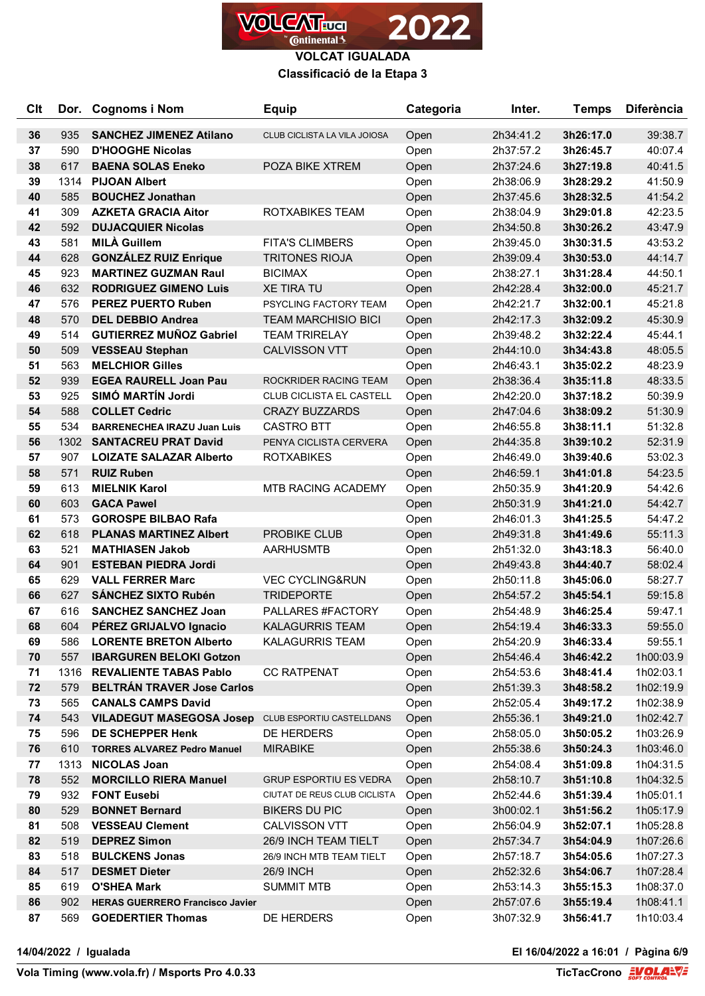

#### **Classificació de la Etapa 3**

| <b>Clt</b> | Dor.        | <b>Cognoms i Nom</b>                                            | <b>Equip</b>                  | Categoria    | Inter.                 | <b>Temps</b>           | <b>Diferència</b>      |
|------------|-------------|-----------------------------------------------------------------|-------------------------------|--------------|------------------------|------------------------|------------------------|
| 36         | 935         | <b>SANCHEZ JIMENEZ Atilano</b>                                  | CLUB CICLISTA LA VILA JOIOSA  | Open         | 2h34:41.2              | 3h26:17.0              | 39:38.7                |
| 37         | 590         | <b>D'HOOGHE Nicolas</b>                                         |                               | Open         | 2h37:57.2              | 3h26:45.7              | 40:07.4                |
| 38         | 617         | <b>BAENA SOLAS Eneko</b>                                        | POZA BIKE XTREM               | Open         | 2h37:24.6              | 3h27:19.8              | 40:41.5                |
| 39         | 1314        | <b>PIJOAN Albert</b>                                            |                               | Open         | 2h38:06.9              | 3h28:29.2              | 41:50.9                |
| 40         | 585         | <b>BOUCHEZ Jonathan</b>                                         |                               | Open         | 2h37:45.6              | 3h28:32.5              | 41:54.2                |
| 41         | 309         | <b>AZKETA GRACIA Aitor</b>                                      | ROTXABIKES TEAM               | Open         | 2h38:04.9              | 3h29:01.8              | 42:23.5                |
| 42         | 592         | <b>DUJACQUIER Nicolas</b>                                       |                               | Open         | 2h34:50.8              | 3h30:26.2              | 43:47.9                |
| 43         | 581         | <b>MILÀ Guillem</b>                                             | <b>FITA'S CLIMBERS</b>        | Open         | 2h39:45.0              | 3h30:31.5              | 43:53.2                |
| 44         | 628         | <b>GONZÁLEZ RUIZ Enrique</b>                                    | <b>TRITONES RIOJA</b>         | Open         | 2h39:09.4              | 3h30:53.0              | 44:14.7                |
| 45         | 923         | <b>MARTINEZ GUZMAN Raul</b>                                     | <b>BICIMAX</b>                | Open         | 2h38:27.1              | 3h31:28.4              | 44:50.1                |
| 46         | 632         | <b>RODRIGUEZ GIMENO Luis</b>                                    | <b>XE TIRA TU</b>             | Open         | 2h42:28.4              | 3h32:00.0              | 45:21.7                |
| 47         | 576         | <b>PEREZ PUERTO Ruben</b>                                       | PSYCLING FACTORY TEAM         | Open         | 2h42:21.7              | 3h32:00.1              | 45:21.8                |
| 48         | 570         | <b>DEL DEBBIO Andrea</b>                                        | <b>TEAM MARCHISIO BICI</b>    | Open         | 2h42:17.3              | 3h32:09.2              | 45:30.9                |
| 49         | 514         | <b>GUTIERREZ MUÑOZ Gabriel</b>                                  | <b>TEAM TRIRELAY</b>          | Open         | 2h39:48.2              | 3h32:22.4              | 45:44.1                |
| 50         | 509         | <b>VESSEAU Stephan</b>                                          | <b>CALVISSON VTT</b>          | Open         | 2h44:10.0              | 3h34:43.8              | 48:05.5                |
| 51         | 563         | <b>MELCHIOR Gilles</b>                                          |                               | Open         | 2h46:43.1              | 3h35:02.2              | 48:23.9                |
| 52         | 939         | <b>EGEA RAURELL Joan Pau</b>                                    | ROCKRIDER RACING TEAM         | Open         | 2h38:36.4              | 3h35:11.8              | 48:33.5                |
| 53         | 925         | SIMÓ MARTÍN Jordi                                               | CLUB CICLISTA EL CASTELL      | Open         | 2h42:20.0              | 3h37:18.2              | 50:39.9                |
| 54         | 588         | <b>COLLET Cedric</b>                                            | <b>CRAZY BUZZARDS</b>         | Open         | 2h47:04.6              | 3h38:09.2              | 51:30.9                |
| 55         | 534         | <b>BARRENECHEA IRAZU Juan Luis</b>                              | <b>CASTRO BTT</b>             | Open         | 2h46:55.8              | 3h38:11.1              | 51:32.8                |
| 56         | 1302        | <b>SANTACREU PRAT David</b>                                     | PENYA CICLISTA CERVERA        | Open         | 2h44:35.8              | 3h39:10.2              | 52:31.9                |
| 57         | 907         | <b>LOIZATE SALAZAR Alberto</b>                                  | <b>ROTXABIKES</b>             | Open         | 2h46:49.0              | 3h39:40.6              | 53:02.3                |
| 58         | 571         | <b>RUIZ Ruben</b>                                               |                               | Open         | 2h46:59.1              | 3h41:01.8              | 54:23.5                |
| 59         | 613         | <b>MIELNIK Karol</b>                                            | <b>MTB RACING ACADEMY</b>     | Open         | 2h50:35.9              | 3h41:20.9              | 54:42.6                |
| 60         | 603         | <b>GACA Pawel</b>                                               |                               | Open         | 2h50:31.9              | 3h41:21.0              | 54:42.7                |
| 61         | 573         | <b>GOROSPE BILBAO Rafa</b>                                      |                               | Open         | 2h46:01.3              | 3h41:25.5              | 54:47.2                |
| 62         | 618         | <b>PLANAS MARTINEZ Albert</b>                                   | <b>PROBIKE CLUB</b>           | Open         | 2h49:31.8              | 3h41:49.6              | 55:11.3                |
| 63         | 521         | <b>MATHIASEN Jakob</b>                                          | <b>AARHUSMTB</b>              | Open         | 2h51:32.0              | 3h43:18.3              | 56:40.0                |
| 64         | 901         | <b>ESTEBAN PIEDRA Jordi</b>                                     |                               | Open         | 2h49:43.8              | 3h44:40.7              | 58:02.4                |
| 65         | 629         | <b>VALL FERRER Marc</b>                                         | <b>VEC CYCLING&amp;RUN</b>    | Open         | 2h50:11.8              | 3h45:06.0              | 58:27.7                |
| 66         | 627         | <b>SÁNCHEZ SIXTO Rubén</b>                                      | <b>TRIDEPORTE</b>             | Open         | 2h54:57.2              | 3h45:54.1              | 59:15.8                |
| 67         | 616         | <b>SANCHEZ SANCHEZ Joan</b>                                     | PALLARES #FACTORY             | Open         | 2h54:48.9              | 3h46:25.4              | 59:47.1                |
| 68         | 604         | PÉREZ GRIJALVO Ignacio                                          | <b>KALAGURRIS TEAM</b>        | Open         | 2h54:19.4              | 3h46:33.3              | 59:55.0                |
| 69         | 586         | <b>LORENTE BRETON Alberto</b>                                   | <b>KALAGURRIS TEAM</b>        | Open         | 2h54:20.9              | 3h46:33.4              | 59:55.1                |
| 70<br>71   | 557<br>1316 | <b>IBARGUREN BELOKI Gotzon</b><br><b>REVALIENTE TABAS Pablo</b> | <b>CC RATPENAT</b>            | Open         | 2h54:46.4<br>2h54:53.6 | 3h46:42.2              | 1h00:03.9              |
| 72         | 579         | <b>BELTRÁN TRAVER Jose Carlos</b>                               |                               | Open<br>Open | 2h51:39.3              | 3h48:41.4<br>3h48:58.2 | 1h02:03.1<br>1h02:19.9 |
| 73         | 565         | <b>CANALS CAMPS David</b>                                       |                               | Open         | 2h52:05.4              | 3h49:17.2              | 1h02:38.9              |
| 74         | 543         | <b>VILADEGUT MASEGOSA Josep</b>                                 | CLUB ESPORTIU CASTELLDANS     | Open         | 2h55:36.1              | 3h49:21.0              | 1h02:42.7              |
| 75         | 596         | DE SCHEPPER Henk                                                | DE HERDERS                    | Open         | 2h58:05.0              | 3h50:05.2              | 1h03:26.9              |
| 76         | 610         | <b>TORRES ALVAREZ Pedro Manuel</b>                              | <b>MIRABIKE</b>               | Open         | 2h55:38.6              | 3h50:24.3              | 1h03:46.0              |
| 77         | 1313        | <b>NICOLAS Joan</b>                                             |                               | Open         | 2h54:08.4              | 3h51:09.8              | 1h04:31.5              |
| 78         | 552         | <b>MORCILLO RIERA Manuel</b>                                    | <b>GRUP ESPORTIU ES VEDRA</b> | Open         | 2h58:10.7              | 3h51:10.8              | 1h04:32.5              |
| 79         | 932         | <b>FONT Eusebi</b>                                              | CIUTAT DE REUS CLUB CICLISTA  | Open         | 2h52:44.6              | 3h51:39.4              | 1h05:01.1              |
| 80         | 529         | <b>BONNET Bernard</b>                                           | <b>BIKERS DU PIC</b>          | Open         | 3h00:02.1              | 3h51:56.2              | 1h05:17.9              |
| 81         | 508         | <b>VESSEAU Clement</b>                                          | CALVISSON VTT                 | Open         | 2h56:04.9              | 3h52:07.1              | 1h05:28.8              |
| 82         | 519         | <b>DEPREZ Simon</b>                                             | 26/9 INCH TEAM TIELT          | Open         | 2h57:34.7              | 3h54:04.9              | 1h07:26.6              |
| 83         | 518         | <b>BULCKENS Jonas</b>                                           | 26/9 INCH MTB TEAM TIELT      | Open         | 2h57:18.7              | 3h54:05.6              | 1h07:27.3              |
| 84         | 517         | <b>DESMET Dieter</b>                                            | <b>26/9 INCH</b>              | Open         | 2h52:32.6              | 3h54:06.7              | 1h07:28.4              |
| 85         | 619         | <b>O'SHEA Mark</b>                                              | <b>SUMMIT MTB</b>             | Open         | 2h53:14.3              | 3h55:15.3              | 1h08:37.0              |
| 86         | 902         | <b>HERAS GUERRERO Francisco Javier</b>                          |                               | Open         | 2h57:07.6              | 3h55:19.4              | 1h08:41.1              |
| 87         | 569         | <b>GOEDERTIER Thomas</b>                                        | DE HERDERS                    | Open         | 3h07:32.9              | 3h56:41.7              | 1h10:03.4              |

**14/04/2022 / Igualada El 16/04/2022 a 16:01 / Pàgina 6/9**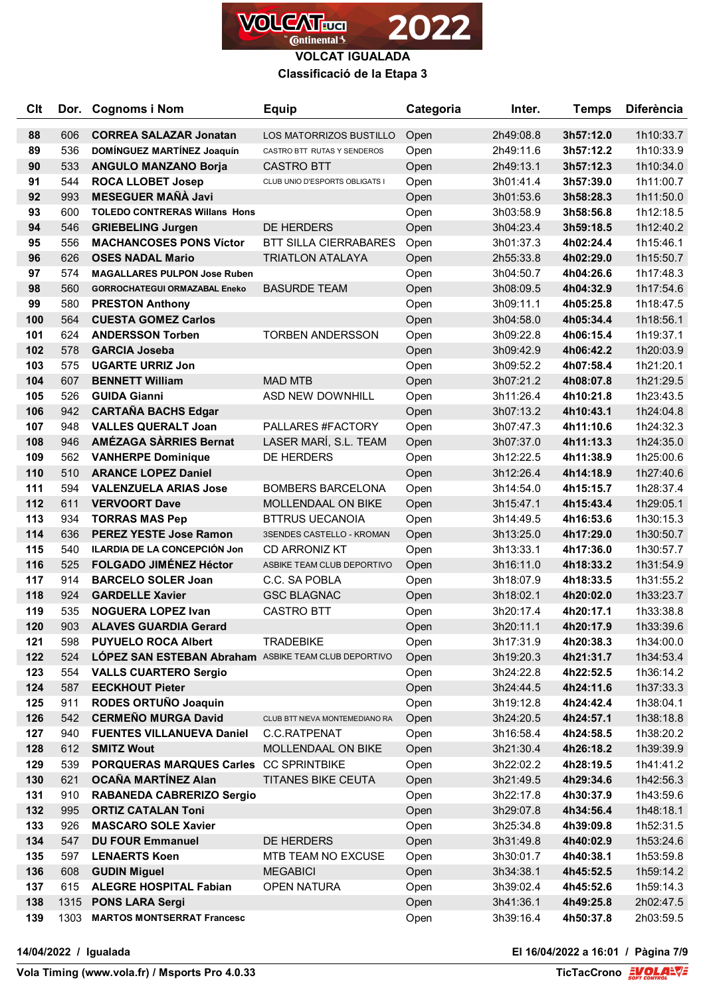

#### **Classificació de la Etapa 3**

| <b>Clt</b> | Dor. | <b>Cognoms i Nom</b>                                 | <b>Equip</b>                   | Categoria | Inter.    | <b>Temps</b> | <b>Diferència</b> |
|------------|------|------------------------------------------------------|--------------------------------|-----------|-----------|--------------|-------------------|
| 88         | 606  | <b>CORREA SALAZAR Jonatan</b>                        | LOS MATORRIZOS BUSTILLO        | Open      | 2h49:08.8 | 3h57:12.0    | 1h10:33.7         |
| 89         | 536  | DOMÍNGUEZ MARTÍNEZ Joaquín                           | CASTRO BTT RUTAS Y SENDEROS    | Open      | 2h49:11.6 | 3h57:12.2    | 1h10:33.9         |
| 90         | 533  | <b>ANGULO MANZANO Borja</b>                          | <b>CASTRO BTT</b>              | Open      | 2h49:13.1 | 3h57:12.3    | 1h10:34.0         |
| 91         | 544  | <b>ROCA LLOBET Josep</b>                             | CLUB UNIO D'ESPORTS OBLIGATS I | Open      | 3h01:41.4 | 3h57:39.0    | 1h11:00.7         |
| 92         | 993  | <b>MESEGUER MAÑÀ Javi</b>                            |                                | Open      | 3h01:53.6 | 3h58:28.3    | 1h11:50.0         |
| 93         | 600  | <b>TOLEDO CONTRERAS Willans Hons</b>                 |                                | Open      | 3h03:58.9 | 3h58:56.8    | 1h12:18.5         |
| 94         | 546  | <b>GRIEBELING Jurgen</b>                             | DE HERDERS                     | Open      | 3h04:23.4 | 3h59:18.5    | 1h12:40.2         |
| 95         | 556  | <b>MACHANCOSES PONS Víctor</b>                       | <b>BTT SILLA CIERRABARES</b>   | Open      | 3h01:37.3 | 4h02:24.4    | 1h15:46.1         |
| 96         | 626  | <b>OSES NADAL Mario</b>                              | <b>TRIATLON ATALAYA</b>        | Open      | 2h55:33.8 | 4h02:29.0    | 1h15:50.7         |
| 97         | 574  | <b>MAGALLARES PULPON Jose Ruben</b>                  |                                | Open      | 3h04:50.7 | 4h04:26.6    | 1h17:48.3         |
| 98         | 560  | <b>GORROCHATEGUI ORMAZABAL Eneko</b>                 | <b>BASURDE TEAM</b>            | Open      | 3h08:09.5 | 4h04:32.9    | 1h17:54.6         |
| 99         | 580  | <b>PRESTON Anthony</b>                               |                                | Open      | 3h09:11.1 | 4h05:25.8    | 1h18:47.5         |
| 100        | 564  | <b>CUESTA GOMEZ Carlos</b>                           |                                | Open      | 3h04:58.0 | 4h05:34.4    | 1h18:56.1         |
| 101        | 624  | <b>ANDERSSON Torben</b>                              | <b>TORBEN ANDERSSON</b>        | Open      | 3h09:22.8 | 4h06:15.4    | 1h19:37.1         |
| 102        | 578  | <b>GARCIA Joseba</b>                                 |                                | Open      | 3h09:42.9 | 4h06:42.2    | 1h20:03.9         |
| 103        | 575  | <b>UGARTE URRIZ Jon</b>                              |                                | Open      | 3h09:52.2 | 4h07:58.4    | 1h21:20.1         |
| 104        | 607  | <b>BENNETT William</b>                               | <b>MAD MTB</b>                 | Open      | 3h07:21.2 | 4h08:07.8    | 1h21:29.5         |
| 105        | 526  | <b>GUIDA Gianni</b>                                  | ASD NEW DOWNHILL               | Open      | 3h11:26.4 | 4h10:21.8    | 1h23:43.5         |
| 106        | 942  | <b>CARTAÑA BACHS Edgar</b>                           |                                | Open      | 3h07:13.2 | 4h10:43.1    | 1h24:04.8         |
| 107        | 948  | <b>VALLES QUERALT Joan</b>                           | PALLARES #FACTORY              | Open      | 3h07:47.3 | 4h11:10.6    | 1h24:32.3         |
| 108        | 946  | <b>AMÉZAGA SÀRRIES Bernat</b>                        | LASER MARÍ, S.L. TEAM          | Open      | 3h07:37.0 | 4h11:13.3    | 1h24:35.0         |
| 109        | 562  | <b>VANHERPE Dominique</b>                            | DE HERDERS                     | Open      | 3h12:22.5 | 4h11:38.9    | 1h25:00.6         |
| 110        | 510  | <b>ARANCE LOPEZ Daniel</b>                           |                                | Open      | 3h12:26.4 | 4h14:18.9    | 1h27:40.6         |
| 111        | 594  | <b>VALENZUELA ARIAS Jose</b>                         | <b>BOMBERS BARCELONA</b>       | Open      | 3h14:54.0 | 4h15:15.7    | 1h28:37.4         |
| 112        | 611  | <b>VERVOORT Dave</b>                                 | MOLLENDAAL ON BIKE             | Open      | 3h15:47.1 | 4h15:43.4    | 1h29:05.1         |
| 113        | 934  | <b>TORRAS MAS Pep</b>                                | <b>BTTRUS UECANOIA</b>         | Open      | 3h14:49.5 | 4h16:53.6    | 1h30:15.3         |
| 114        | 636  | <b>PEREZ YESTE Jose Ramon</b>                        | 3SENDES CASTELLO - KROMAN      | Open      | 3h13:25.0 | 4h17:29.0    | 1h30:50.7         |
| 115        | 540  | ILARDIA DE LA CONCEPCIÓN Jon                         | <b>CD ARRONIZ KT</b>           | Open      | 3h13:33.1 | 4h17:36.0    | 1h30:57.7         |
| 116        | 525  | <b>FOLGADO JIMÉNEZ Héctor</b>                        | ASBIKE TEAM CLUB DEPORTIVO     | Open      | 3h16:11.0 | 4h18:33.2    | 1h31:54.9         |
| 117        | 914  | <b>BARCELO SOLER Joan</b>                            | C.C. SA POBLA                  | Open      | 3h18:07.9 | 4h18:33.5    | 1h31:55.2         |
| 118        | 924  | <b>GARDELLE Xavier</b>                               | <b>GSC BLAGNAC</b>             | Open      | 3h18:02.1 | 4h20:02.0    | 1h33:23.7         |
| 119        | 535  | <b>NOGUERA LOPEZ Ivan</b>                            | <b>CASTRO BTT</b>              | Open      | 3h20:17.4 | 4h20:17.1    | 1h33:38.8         |
| 120        | 903  | <b>ALAVES GUARDIA Gerard</b>                         |                                | Open      | 3h20:11.1 | 4h20:17.9    | 1h33:39.6         |
| 121        | 598  | <b>PUYUELO ROCA Albert</b>                           | <b>TRADEBIKE</b>               | Open      | 3h17:31.9 | 4h20:38.3    | 1h34:00.0         |
| 122        | 524  | LÓPEZ SAN ESTEBAN Abraham ASBIKE TEAM CLUB DEPORTIVO |                                | Open      | 3h19:20.3 | 4h21:31.7    | 1h34:53.4         |
| 123        | 554  | <b>VALLS CUARTERO Sergio</b>                         |                                | Open      | 3h24:22.8 | 4h22:52.5    | 1h36:14.2         |
| 124        | 587  | <b>EECKHOUT Pieter</b>                               |                                | Open      | 3h24:44.5 | 4h24:11.6    | 1h37:33.3         |
| 125        | 911  | RODES ORTUÑO Joaquin                                 |                                | Open      | 3h19:12.8 | 4h24:42.4    | 1h38:04.1         |
| 126        | 542  | <b>CERMEÑO MURGA David</b>                           | CLUB BTT NIEVA MONTEMEDIANO RA | Open      | 3h24:20.5 | 4h24:57.1    | 1h38:18.8         |
| 127        | 940  | <b>FUENTES VILLANUEVA Daniel</b>                     | C.C.RATPENAT                   | Open      | 3h16:58.4 | 4h24:58.5    | 1h38:20.2         |
| 128        | 612  | <b>SMITZ Wout</b>                                    | MOLLENDAAL ON BIKE             | Open      | 3h21:30.4 | 4h26:18.2    | 1h39:39.9         |
| 129        | 539  | PORQUERAS MARQUES Carles CC SPRINTBIKE               |                                | Open      | 3h22:02.2 | 4h28:19.5    | 1h41:41.2         |
| 130        | 621  | <b>OCAÑA MARTÍNEZ Alan</b>                           | <b>TITANES BIKE CEUTA</b>      | Open      | 3h21:49.5 | 4h29:34.6    | 1h42:56.3         |
| 131        | 910  | RABANEDA CABRERIZO Sergio                            |                                | Open      | 3h22:17.8 | 4h30:37.9    | 1h43:59.6         |
| 132        | 995  | <b>ORTIZ CATALAN Toni</b>                            |                                | Open      | 3h29:07.8 | 4h34:56.4    | 1h48:18.1         |
| 133        | 926  | <b>MASCARO SOLE Xavier</b>                           |                                | Open      | 3h25:34.8 | 4h39:09.8    | 1h52:31.5         |
| 134        | 547  | <b>DU FOUR Emmanuel</b>                              | DE HERDERS                     | Open      | 3h31:49.8 | 4h40:02.9    | 1h53:24.6         |
| 135        | 597  | <b>LENAERTS Koen</b>                                 | MTB TEAM NO EXCUSE             | Open      | 3h30:01.7 | 4h40:38.1    | 1h53:59.8         |
| 136        | 608  | <b>GUDIN Miguel</b>                                  | <b>MEGABICI</b>                | Open      | 3h34:38.1 | 4h45:52.5    | 1h59:14.2         |
| 137        | 615  | <b>ALEGRE HOSPITAL Fabian</b>                        | <b>OPEN NATURA</b>             | Open      | 3h39:02.4 | 4h45:52.6    | 1h59:14.3         |
| 138        |      | 1315 PONS LARA Sergi                                 |                                | Open      | 3h41:36.1 | 4h49:25.8    | 2h02:47.5         |
| 139        | 1303 | <b>MARTOS MONTSERRAT Francesc</b>                    |                                | Open      | 3h39:16.4 | 4h50:37.8    | 2h03:59.5         |

 $\overline{\phantom{a}}$ 

**14/04/2022 / Igualada El 16/04/2022 a 16:01 / Pàgina 7/9**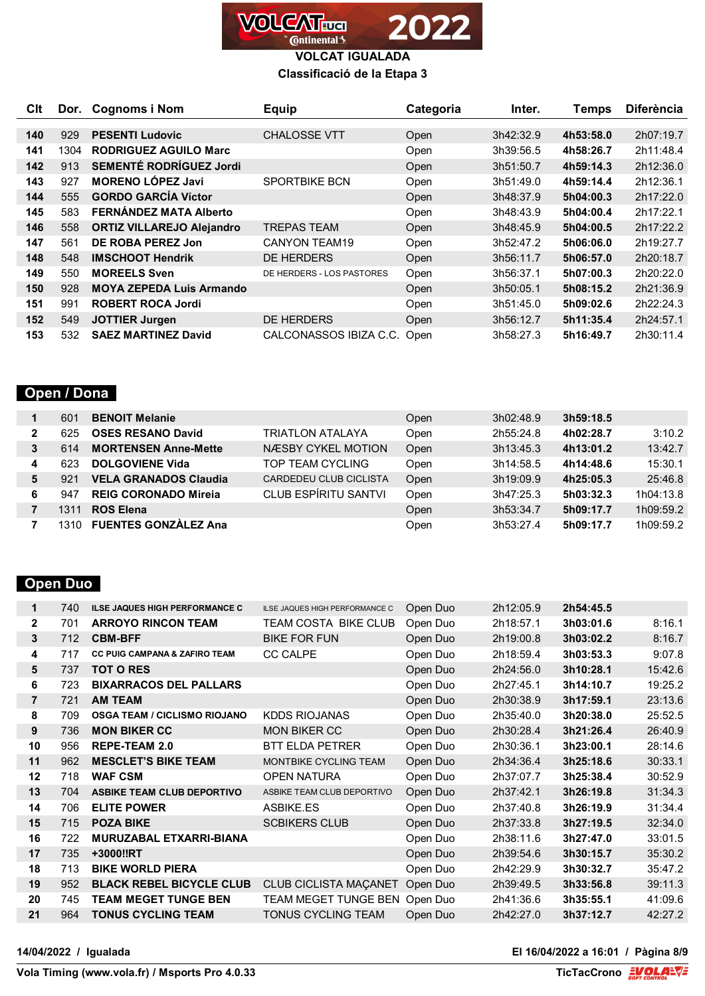

#### **Classificació de la Etapa 3**

| C <sub>It</sub> |      | Dor. Cognoms i Nom               | <b>Equip</b>              | Categoria | Inter.    | Temps     | <b>Diferència</b> |
|-----------------|------|----------------------------------|---------------------------|-----------|-----------|-----------|-------------------|
|                 |      |                                  |                           |           |           |           |                   |
| 140             | 929  | <b>PESENTI Ludovic</b>           | <b>CHALOSSE VTT</b>       | Open      | 3h42:32.9 | 4h53:58.0 | 2h07:19.7         |
| 141             | 1304 | <b>RODRIGUEZ AGUILO Marc</b>     |                           | Open      | 3h39:56.5 | 4h58:26.7 | 2h11:48.4         |
| 142             | 913  | SEMENTÉ RODRÍGUEZ Jordi          |                           | Open      | 3h51:50.7 | 4h59:14.3 | 2h12:36.0         |
| 143             | 927  | <b>MORENO LÓPEZ Javi</b>         | <b>SPORTBIKE BCN</b>      | Open      | 3h51:49.0 | 4h59:14.4 | 2h12:36.1         |
| 144             | 555  | <b>GORDO GARCÍA Víctor</b>       |                           | Open      | 3h48:37.9 | 5h04:00.3 | 2h17:22.0         |
| 145             | 583  | FERNÁNDEZ MATA Alberto           |                           | Open      | 3h48:43.9 | 5h04:00.4 | 2h17:22.1         |
| 146             | 558  | <b>ORTIZ VILLAREJO Alejandro</b> | <b>TREPAS TEAM</b>        | Open      | 3h48:45.9 | 5h04:00.5 | 2h17:22.2         |
| 147             | 561  | DE ROBA PEREZ Jon                | <b>CANYON TEAM19</b>      | Open      | 3h52:47.2 | 5h06:06.0 | 2h19:27.7         |
| 148             | 548  | <b>IMSCHOOT Hendrik</b>          | <b>DE HERDERS</b>         | Open      | 3h56:11.7 | 5h06:57.0 | 2h20:18.7         |
| 149             | 550  | <b>MOREELS Sven</b>              | DE HERDERS - LOS PASTORES | Open      | 3h56:37.1 | 5h07:00.3 | 2h20:22.0         |
| 150             | 928  | <b>MOYA ZEPEDA Luis Armando</b>  |                           | Open      | 3h50:05.1 | 5h08:15.2 | 2h21:36.9         |
| 151             | 991  | <b>ROBERT ROCA Jordi</b>         |                           | Open      | 3h51:45.0 | 5h09:02.6 | 2h22:24.3         |
| 152             | 549  | <b>JOTTIER Jurgen</b>            | <b>DE HERDERS</b>         | Open      | 3h56:12.7 | 5h11:35.4 | 2h24:57.1         |
| 153             | 532  | <b>SAEZ MARTINEZ David</b>       | CALCONASSOS IBIZA C.C.    | Open      | 3h58:27.3 | 5h16:49.7 | 2h30:11.4         |

### **Open / Dona**

|   | 601  | <b>BENOIT Melanie</b>        |                             | Open | 3h02:48.9 | 3h59:18.5 |           |
|---|------|------------------------------|-----------------------------|------|-----------|-----------|-----------|
| 2 | 625  | <b>OSES RESANO David</b>     | TRIATLON ATALAYA            | Open | 2h55:24.8 | 4h02:28.7 | 3:10.2    |
| 3 | 614  | <b>MORTENSEN Anne-Mette</b>  | <b>NÆSBY CYKEL MOTION</b>   | Open | 3h13:45.3 | 4h13:01.2 | 13:42.7   |
| 4 | 623  | <b>DOLGOVIENE Vida</b>       | TOP TEAM CYCLING            | Open | 3h14:58.5 | 4h14:48.6 | 15:30.1   |
| 5 | 921  | <b>VELA GRANADOS Claudia</b> | CARDEDEU CLUB CICLISTA      | Open | 3h19:09.9 | 4h25:05.3 | 25:46.8   |
| 6 | 947  | <b>REIG CORONADO Mireja</b>  | <b>CLUB ESPÍRITU SANTVI</b> | Open | 3h47:25.3 | 5h03:32.3 | 1h04:13.8 |
|   | ī311 | <b>ROS Elena</b>             |                             | Open | 3h53:34.7 | 5h09:17.7 | 1h09:59.2 |
|   |      | <b>FUENTES GONZALEZ Ana</b>  |                             | Open | 3h53:27.4 | 5h09:17.7 | 1h09:59.2 |

### **Open Duo**

| 1            | 740 | <b>ILSE JAQUES HIGH PERFORMANCE C</b>    | ILSE JAQUES HIGH PERFORMANCE C | Open Duo | 2h12:05.9 | 2h54:45.5 |         |
|--------------|-----|------------------------------------------|--------------------------------|----------|-----------|-----------|---------|
| $\mathbf{2}$ | 701 | <b>ARROYO RINCON TEAM</b>                | TEAM COSTA BIKE CLUB           | Open Duo | 2h18:57.1 | 3h03:01.6 | 8:16.1  |
| 3            | 712 | <b>CBM-BFF</b>                           | <b>BIKE FOR FUN</b>            | Open Duo | 2h19:00.8 | 3h03:02.2 | 8:16.7  |
| 4            | 717 | <b>CC PUIG CAMPANA &amp; ZAFIRO TEAM</b> | <b>CC CALPE</b>                | Open Duo | 2h18:59.4 | 3h03:53.3 | 9:07.8  |
| 5            | 737 | <b>TOT O RES</b>                         |                                | Open Duo | 2h24:56.0 | 3h10:28.1 | 15:42.6 |
| 6            | 723 | <b>BIXARRACOS DEL PALLARS</b>            |                                | Open Duo | 2h27:45.1 | 3h14:10.7 | 19:25.2 |
| 7            | 721 | <b>AM TEAM</b>                           |                                | Open Duo | 2h30:38.9 | 3h17:59.1 | 23:13.6 |
| 8            | 709 | <b>OSGA TEAM / CICLISMO RIOJANO</b>      | KDDS RIOJANAS                  | Open Duo | 2h35:40.0 | 3h20:38.0 | 25:52.5 |
| 9            | 736 | <b>MON BIKER CC</b>                      | <b>MON BIKER CC</b>            | Open Duo | 2h30:28.4 | 3h21:26.4 | 26:40.9 |
| 10           | 956 | <b>REPE-TEAM 2.0</b>                     | <b>BTT ELDA PETRER</b>         | Open Duo | 2h30:36.1 | 3h23:00.1 | 28:14.6 |
| 11           | 962 | <b>MESCLET'S BIKE TEAM</b>               | MONTBIKE CYCLING TEAM          | Open Duo | 2h34:36.4 | 3h25:18.6 | 30:33.1 |
| 12           | 718 | <b>WAF CSM</b>                           | <b>OPEN NATURA</b>             | Open Duo | 2h37:07.7 | 3h25:38.4 | 30:52.9 |
| 13           | 704 | <b>ASBIKE TEAM CLUB DEPORTIVO</b>        | ASBIKE TEAM CLUB DEPORTIVO     | Open Duo | 2h37:42.1 | 3h26:19.8 | 31:34.3 |
| 14           | 706 | <b>ELITE POWER</b>                       | ASBIKE.ES                      | Open Duo | 2h37:40.8 | 3h26:19.9 | 31:34.4 |
| 15           | 715 | <b>POZA BIKE</b>                         | <b>SCBIKERS CLUB</b>           | Open Duo | 2h37:33.8 | 3h27:19.5 | 32:34.0 |
| 16           | 722 | <b>MURUZABAL ETXARRI-BIANA</b>           |                                | Open Duo | 2h38:11.6 | 3h27:47.0 | 33:01.5 |
| 17           | 735 | +3000!!RT                                |                                | Open Duo | 2h39:54.6 | 3h30:15.7 | 35:30.2 |
| 18           | 713 | <b>BIKE WORLD PIERA</b>                  |                                | Open Duo | 2h42:29.9 | 3h30:32.7 | 35:47.2 |
| 19           | 952 | <b>BLACK REBEL BICYCLE CLUB</b>          | CLUB CICLISTA MAÇANET          | Open Duo | 2h39:49.5 | 3h33:56.8 | 39:11.3 |
| 20           | 745 | <b>TEAM MEGET TUNGE BEN</b>              | TEAM MEGET TUNGE BEN           | Open Duo | 2h41:36.6 | 3h35:55.1 | 41:09.6 |
| 21           | 964 | <b>TONUS CYCLING TEAM</b>                | <b>TONUS CYCLING TEAM</b>      | Open Duo | 2h42:27.0 | 3h37:12.7 | 42:27.2 |
|              |     |                                          |                                |          |           |           |         |

**14/04/2022 / Igualada El 16/04/2022 a 16:01 / Pàgina 8/9**